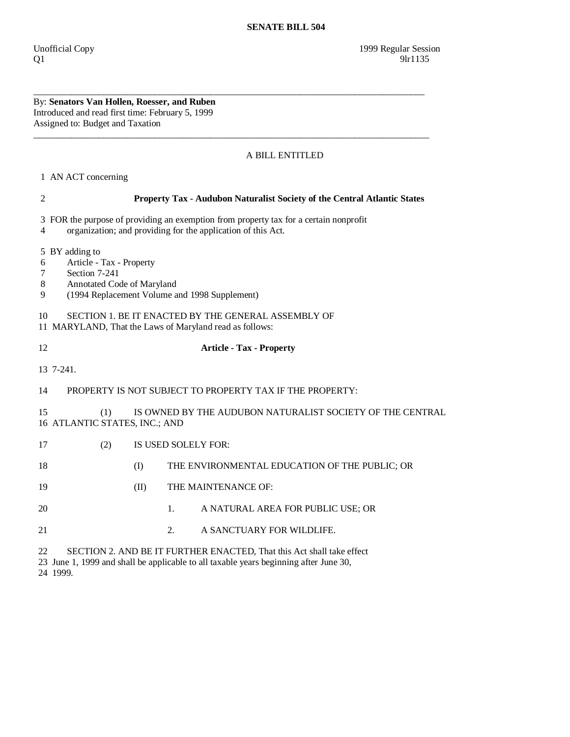By: **Senators Van Hollen, Roesser, and Ruben**  Introduced and read first time: February 5, 1999 Assigned to: Budget and Taxation

## A BILL ENTITLED

1 AN ACT concerning

24 1999.

| $\mathfrak{2}$                                                                                          | Property Tax - Audubon Naturalist Society of the Central Atlantic States                                                                              |      |                                                                                                                                                                |  |  |
|---------------------------------------------------------------------------------------------------------|-------------------------------------------------------------------------------------------------------------------------------------------------------|------|----------------------------------------------------------------------------------------------------------------------------------------------------------------|--|--|
| $\overline{4}$                                                                                          | 3 FOR the purpose of providing an exemption from property tax for a certain nonprofit<br>organization; and providing for the application of this Act. |      |                                                                                                                                                                |  |  |
| 6<br>7<br>8<br>9<br>10                                                                                  | 5 BY adding to<br>Article - Tax - Property<br>Section 7-241<br>Annotated Code of Maryland                                                             |      | (1994 Replacement Volume and 1998 Supplement)<br>SECTION 1. BE IT ENACTED BY THE GENERAL ASSEMBLY OF                                                           |  |  |
|                                                                                                         |                                                                                                                                                       |      | 11 MARYLAND, That the Laws of Maryland read as follows:                                                                                                        |  |  |
| 12                                                                                                      |                                                                                                                                                       |      | <b>Article - Tax - Property</b>                                                                                                                                |  |  |
| 13 7-241.                                                                                               |                                                                                                                                                       |      |                                                                                                                                                                |  |  |
| 14                                                                                                      |                                                                                                                                                       |      | PROPERTY IS NOT SUBJECT TO PROPERTY TAX IF THE PROPERTY:                                                                                                       |  |  |
| 15<br>IS OWNED BY THE AUDUBON NATURALIST SOCIETY OF THE CENTRAL<br>(1)<br>16 ATLANTIC STATES, INC.; AND |                                                                                                                                                       |      |                                                                                                                                                                |  |  |
| 17                                                                                                      | (2)                                                                                                                                                   |      | IS USED SOLELY FOR:                                                                                                                                            |  |  |
| 18                                                                                                      |                                                                                                                                                       | (I)  | THE ENVIRONMENTAL EDUCATION OF THE PUBLIC; OR                                                                                                                  |  |  |
| 19                                                                                                      |                                                                                                                                                       | (II) | THE MAINTENANCE OF:                                                                                                                                            |  |  |
| 20                                                                                                      |                                                                                                                                                       |      | A NATURAL AREA FOR PUBLIC USE; OR<br>$\mathbf{1}$ .                                                                                                            |  |  |
| 21                                                                                                      |                                                                                                                                                       |      | A SANCTUARY FOR WILDLIFE.<br>2.                                                                                                                                |  |  |
| 22                                                                                                      |                                                                                                                                                       |      | SECTION 2. AND BE IT FURTHER ENACTED, That this Act shall take effect<br>23 June 1, 1999 and shall be applicable to all taxable years beginning after June 30, |  |  |

\_\_\_\_\_\_\_\_\_\_\_\_\_\_\_\_\_\_\_\_\_\_\_\_\_\_\_\_\_\_\_\_\_\_\_\_\_\_\_\_\_\_\_\_\_\_\_\_\_\_\_\_\_\_\_\_\_\_\_\_\_\_\_\_\_\_\_\_\_\_\_\_\_\_\_\_\_\_\_\_\_\_\_\_

\_\_\_\_\_\_\_\_\_\_\_\_\_\_\_\_\_\_\_\_\_\_\_\_\_\_\_\_\_\_\_\_\_\_\_\_\_\_\_\_\_\_\_\_\_\_\_\_\_\_\_\_\_\_\_\_\_\_\_\_\_\_\_\_\_\_\_\_\_\_\_\_\_\_\_\_\_\_\_\_\_\_\_\_\_